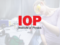# Institute of Physics

O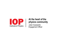

### **At the heart of the physics community**

Julian Guassardo Engagement Officer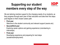# **Supporting our student members every step of the way**



We are tailoring member support to the changing needs of our students, as they progress through each year of their education and take their first steps post-degree on their chosen career path:

#### **First year**

Welcome to the student community and relevant support (exams etc)

#### ▪ **Second/third year**

Exploring career options and gaining experience (volunteering to internships)

### ▪ **Final year**

Developing experience and preparing for next steps (academia/employment)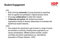# **Student Engagement**



AIM:

- Build a thriving **community** of young physicists by supporting them to organise and participate in regional physics events
- Encourage **collaborations** to widen their network
- **Collaborate and partner** with students and student organisations directly to develop relationships at universities that benefit local student networks.

H<sub>ow</sub>?

• Give students the opportunity to get involved in a range of events and activities at university, including those organised by our campus ambassadors, affiliated student societies, student committee and partner organisations (e.g. Internaltional Association of Physics Students - IAPS)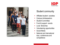



# Student community

- Affiliated student societies
- Campus Ambassadors
- **E** Student Committee
- Fund & support events
- **Local Branches**
- Volunteering opportunities
- **Social Media**
- **E** National and international trips, conferences and competitions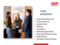



## Career development

- **Career Development Hub**
- Careers resources
- **Careers Events**
- Webinars
- **■** Volunteering
- **EXECUTE:** Networking opportunities
- **Early Career Members Group**
- **E** Bright Recruits
- **Accredited Training Schemes**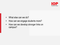

- What else can we do?
- How can we engage students more?
- How can we develop stronger links on campus?